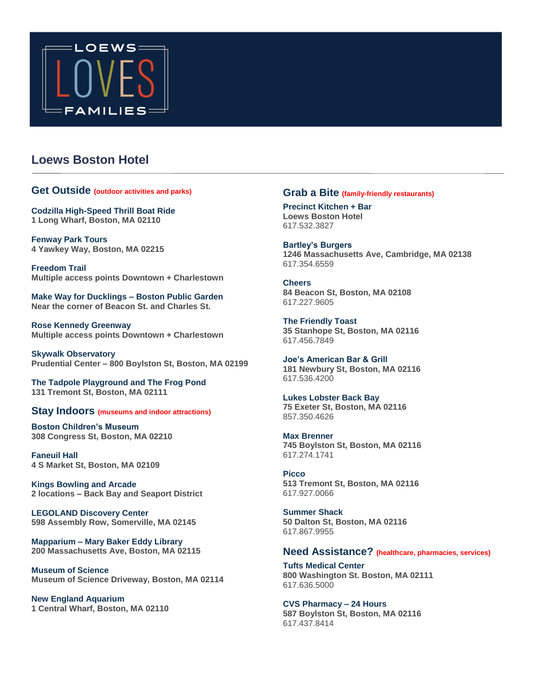

# **Loews Boston Hotel**

#### **Get Outside (outdoor activities and parks)**

**Codzilla High-Speed Thrill Boat Ride 1 Long Wharf, Boston, MA 02110** 

**Fenway Park Tours 4 Yawkey Way, Boston, MA 02215** 

**Freedom Trail Multiple access points Downtown + Charlestown** 

**Make Way for Ducklings – Boston Public Garden Near the corner of Beacon St. and Charles St.** 

**Rose Kennedy Greenway Multiple access points Downtown + Charlestown** 

**Skywalk Observatory Prudential Center – 800 Boylston St, Boston, MA 02199** 

**The Tadpole Playground and The Frog Pond 131 Tremont St, Boston, MA 02111** 

### **Stay Indoors (museums and indoor attractions)**

**Boston Children's Museum 308 Congress St, Boston, MA 02210** 

**Faneuil Hall 4 S Market St, Boston, MA 02109** 

**Kings Bowling and Arcade 2 locations – Back Bay and Seaport District** 

**LEGOLAND Discovery Center 598 Assembly Row, Somerville, MA 02145** 

**Mapparium – Mary Baker Eddy Library 200 Massachusetts Ave, Boston, MA 02115** 

**Museum of Science Museum of Science Driveway, Boston, MA 02114** 

**New England Aquarium 1 Central Wharf, Boston, MA 02110** 

### **Grab a Bite (family-friendly restaurants)**

**Precinct Kitchen + Bar Loews Boston Hotel**  617.532.3827

**Bartley's Burgers 1246 Massachusetts Ave, Cambridge, MA 02138**  617.354.6559

**Cheers 84 Beacon St, Boston, MA 02108**  617.227.9605

**The Friendly Toast 35 Stanhope St, Boston, MA 02116**  617.456.7849

**Joe's American Bar & Grill 181 Newbury St, Boston, MA 02116**  617.536.4200

**Lukes Lobster Back Bay 75 Exeter St, Boston, MA 02116**  857.350.4626

**Max Brenner 745 Boylston St, Boston, MA 02116**  617.274.1741

**Picco 513 Tremont St, Boston, MA 02116**  617.927.0066

**Summer Shack 50 Dalton St, Boston, MA 02116**  617.867.9955

### **Need Assistance? (healthcare, pharmacies, services)**

**Tufts Medical Center 800 Washington St. Boston, MA 02111**  617.636.5000

**CVS Pharmacy – 24 Hours 587 Boylston St, Boston, MA 02116**  617.437.8414